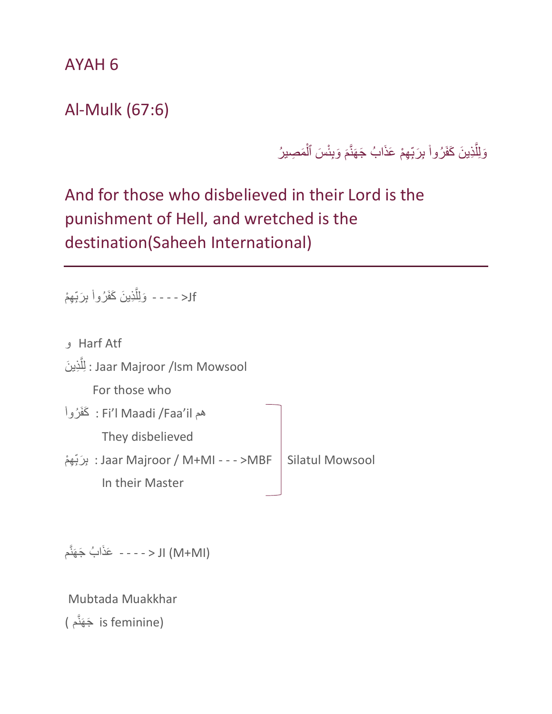AYAH 6

Al-Mulk (67:6)

وَلِلَّذِينَ كَفَرُواْ بِرَبِّهِمْ عَذَابُ جَهَنَّمَ وَبِئْسَ ٱلْمَصِيرُ َّ j َ Î

And for those who disbelieved in their Lord is the punishment of Hell, and wretched is the destination(Saheeh International)

Jf - - - - وَلِلَّذِينَ كَفَرُواْ بِرَبِّهِمْ َّ j

| Harf Atf و                                   |                        |
|----------------------------------------------|------------------------|
| لِلَّذِينَ : Jaar Majroor /Ism Mowsool       |                        |
| For those who                                |                        |
| فم Fi'l Maadi /Faa'il : كَفَرُواْ            |                        |
| They disbelieved                             |                        |
| Jaar Majroor / M+MI - - - >MBF : بِرَبِّهِمْ | <b>Silatul Mowsool</b> |
| In their Master                              |                        |

َعذَا ُب م َج َهنَّ - - - - > JI (M+MI)

Mubtada Muakkhar

َج َهنَّم ) is feminine)